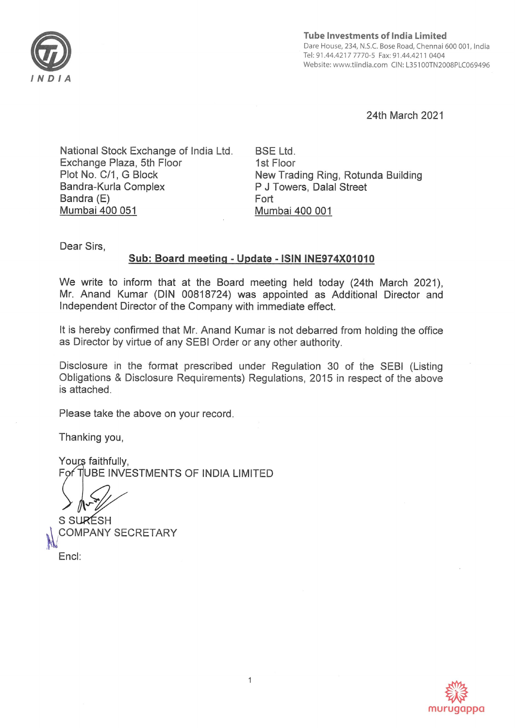

Tube Investments of India Limited Dare House, 234, N.S.C. Bose Road, Chennal 600 001, India Tel: 91.44.4217 7770-5 Fax: 91.44.4211 0404 Website: www.tiindia.com ClN: L35100TN2008PLC069496

24th March 2021

National Stock Exchange of India Ltd Exchange Plaza, 5th Floor Plot No. C/1, G Block Bandra-Kurla Complex Bandra (E) Mumbai 400 051

BSE Ltd. 1st Floor New Trading Ring, Rotunda Building P J Towers, Dalal Street Fort Mumbai 400 001

Dear Sirs,

## **Sub: Board meeting** - **Update** - **ISIN INE974XO1O1O**

We write to inform that at the Board meeting held today (24th March 2021), Mr. Anand Kumar (DIN 00818724) was appointed as Additional Director and Independent Director of the Company with immediate effect.

It is hereby confirmed that Mr. Anand Kumar is not debarred from holding the office as Director by virtue of any SEBI Order or any other authority.

Disclosure in the format prescribed under Regulation 30 of the SEBI (Listing Obligations & Disclosure Requirements) Regulations, 2015 in respect of the above is attached.

Please take the above on your record.

Thanking you,

Yours faithfully. For TUBE INVESTMENTS OF INDIA LIMITED

S SURESH COMPANY SECRETARY End: